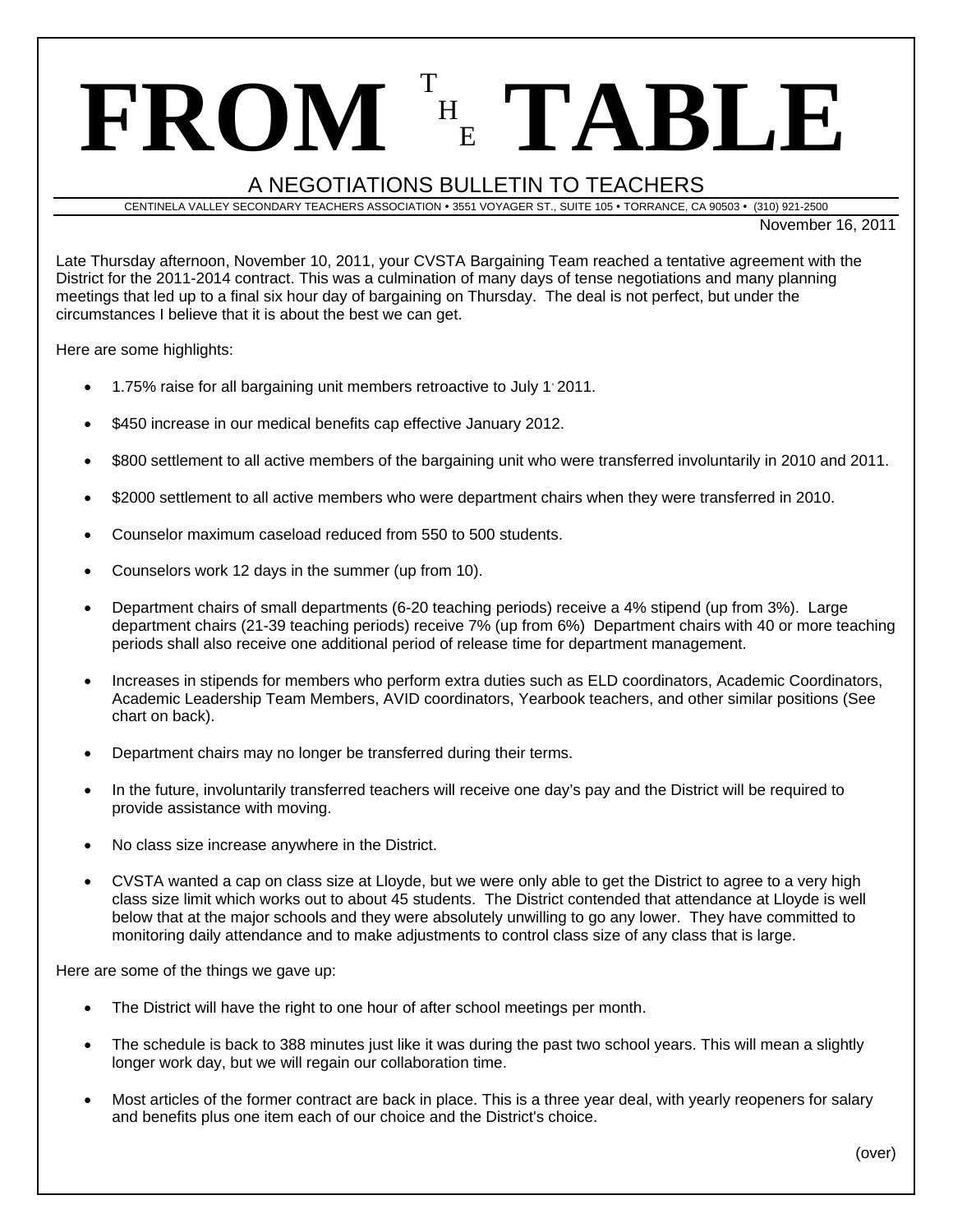# **FROM** <sup>T</sup> H <sup>E</sup> **TABLE**

## A NEGOTIATIONS BULLETIN TO TEACHERS

CENTINELA VALLEY SECONDARY TEACHERS ASSOCIATION · 3551 VOYAGER ST., SUITE 105 · TORRANCE, CA 90503 · (310) 921-2500

November 16, 2011

Late Thursday afternoon, November 10, 2011, your CVSTA Bargaining Team reached a tentative agreement with the District for the 2011-2014 contract. This was a culmination of many days of tense negotiations and many planning meetings that led up to a final six hour day of bargaining on Thursday. The deal is not perfect, but under the circumstances I believe that it is about the best we can get.

Here are some highlights:

- 1.75% raise for all bargaining unit members retroactive to July 1'2011.
- \$450 increase in our medical benefits cap effective January 2012.
- \$800 settlement to all active members of the bargaining unit who were transferred involuntarily in 2010 and 2011.
- \$2000 settlement to all active members who were department chairs when they were transferred in 2010.
- Counselor maximum caseload reduced from 550 to 500 students.
- Counselors work 12 days in the summer (up from 10).
- Department chairs of small departments (6-20 teaching periods) receive a 4% stipend (up from 3%). Large department chairs (21-39 teaching periods) receive 7% (up from 6%) Department chairs with 40 or more teaching periods shall also receive one additional period of release time for department management.
- Increases in stipends for members who perform extra duties such as ELD coordinators, Academic Coordinators, Academic Leadership Team Members, AVID coordinators, Yearbook teachers, and other similar positions (See chart on back).
- Department chairs may no longer be transferred during their terms.
- In the future, involuntarily transferred teachers will receive one day's pay and the District will be required to provide assistance with moving.
- No class size increase anywhere in the District.
- CVSTA wanted a cap on class size at Lloyde, but we were only able to get the District to agree to a very high class size limit which works out to about 45 students. The District contended that attendance at Lloyde is well below that at the major schools and they were absolutely unwilling to go any lower. They have committed to monitoring daily attendance and to make adjustments to control class size of any class that is large.

Here are some of the things we gave up:

- The District will have the right to one hour of after school meetings per month.
- The schedule is back to 388 minutes just like it was during the past two school years. This will mean a slightly longer work day, but we will regain our collaboration time.
- Most articles of the former contract are back in place. This is a three year deal, with yearly reopeners for salary and benefits plus one item each of our choice and the District's choice.